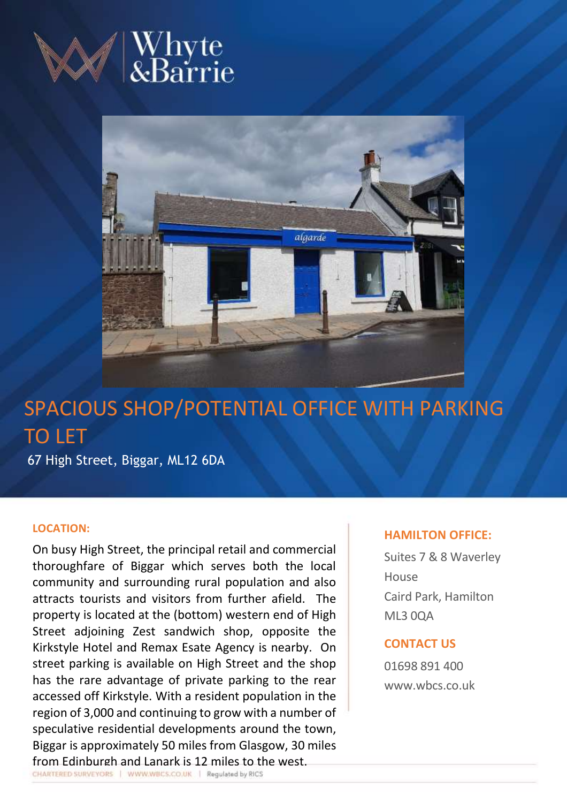



# SPACIOUS SHOP/POTENTIAL OFFICE WITH PARKING TO LET

67 High Street, Biggar, ML12 6DA

# **LOCATION:**

On busy High Street, the principal retail and commercial thoroughfare of Biggar which serves both the local community and surrounding rural population and also attracts tourists and visitors from further afield. The property is located at the (bottom) western end of High Street adjoining Zest sandwich shop, opposite the Kirkstyle Hotel and Remax Esate Agency is nearby. On street parking is available on High Street and the shop has the rare advantage of private parking to the rear accessed off Kirkstyle. With a resident population in the region of 3,000 and continuing to grow with a number of speculative residential developments around the town, Biggar is approximately 50 miles from Glasgow, 30 miles from Edinburgh and Lanark is 12 miles to the west.

# **HAMILTON OFFICE:**

Suites 7 & 8 Waverley House Caird Park, Hamilton ML3 0QA

# **CONTACT US**

01698 891 400 www.wbcs.co.uk